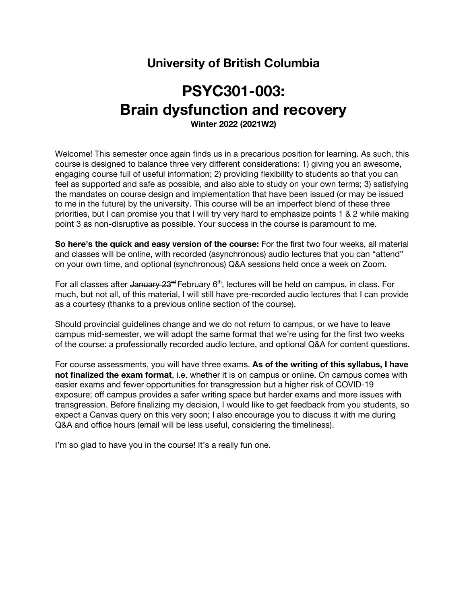## **University of British Columbia**

# **PSYC301-003: Brain dysfunction and recovery**

**Winter 2022 (2021W2)**

Welcome! This semester once again finds us in a precarious position for learning. As such, this course is designed to balance three very different considerations: 1) giving you an awesome, engaging course full of useful information; 2) providing flexibility to students so that you can feel as supported and safe as possible, and also able to study on your own terms; 3) satisfying the mandates on course design and implementation that have been issued (or may be issued to me in the future) by the university. This course will be an imperfect blend of these three priorities, but I can promise you that I will try very hard to emphasize points 1 & 2 while making point 3 as non-disruptive as possible. Your success in the course is paramount to me.

**So here's the quick and easy version of the course:** For the first two four weeks, all material and classes will be online, with recorded (asynchronous) audio lectures that you can "attend" on your own time, and optional (synchronous) Q&A sessions held once a week on Zoom.

For all classes after January  $23<sup>rd</sup>$  February  $6<sup>th</sup>$ , lectures will be held on campus, in class. For much, but not all, of this material, I will still have pre-recorded audio lectures that I can provide as a courtesy (thanks to a previous online section of the course).

Should provincial guidelines change and we do not return to campus, or we have to leave campus mid-semester, we will adopt the same format that we're using for the first two weeks of the course: a professionally recorded audio lecture, and optional Q&A for content questions.

For course assessments, you will have three exams. **As of the writing of this syllabus, I have not finalized the exam format**, i.e. whether it is on campus or online. On campus comes with easier exams and fewer opportunities for transgression but a higher risk of COVID-19 exposure; off campus provides a safer writing space but harder exams and more issues with transgression. Before finalizing my decision, I would like to get feedback from you students, so expect a Canvas query on this very soon; I also encourage you to discuss it with me during Q&A and office hours (email will be less useful, considering the timeliness).

I'm so glad to have you in the course! It's a really fun one.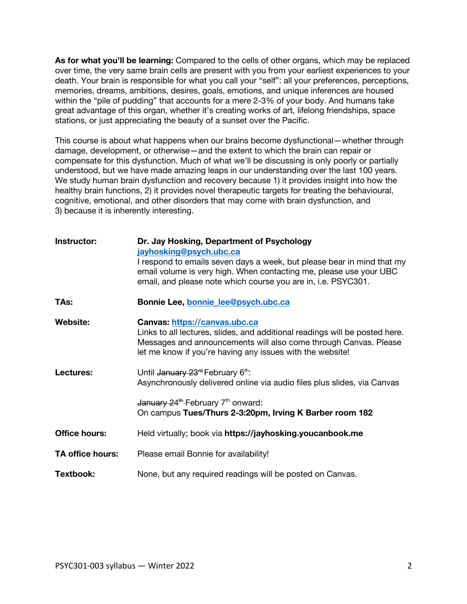**As for what you'll be learning:** Compared to the cells of other organs, which may be replaced over time, the very same brain cells are present with you from your earliest experiences to your death. Your brain is responsible for what you call your "self": all your preferences, perceptions, memories, dreams, ambitions, desires, goals, emotions, and unique inferences are housed within the "pile of pudding" that accounts for a mere 2-3% of your body. And humans take great advantage of this organ, whether it's creating works of art, lifelong friendships, space stations, or just appreciating the beauty of a sunset over the Pacific.

This course is about what happens when our brains become dysfunctional—whether through damage, development, or otherwise—and the extent to which the brain can repair or compensate for this dysfunction. Much of what we'll be discussing is only poorly or partially understood, but we have made amazing leaps in our understanding over the last 100 years. We study human brain dysfunction and recovery because 1) it provides insight into how the healthy brain functions, 2) it provides novel therapeutic targets for treating the behavioural, cognitive, emotional, and other disorders that may come with brain dysfunction, and 3) because it is inherently interesting.

| Instructor:             | Dr. Jay Hosking, Department of Psychology<br>jayhosking@psych.ubc.ca<br>I respond to emails seven days a week, but please bear in mind that my<br>email volume is very high. When contacting me, please use your UBC<br>email, and please note which course you are in, i.e. PSYC301. |  |
|-------------------------|---------------------------------------------------------------------------------------------------------------------------------------------------------------------------------------------------------------------------------------------------------------------------------------|--|
| TAs:                    | Bonnie Lee, bonnie_lee@psych.ubc.ca                                                                                                                                                                                                                                                   |  |
| <b>Website:</b>         | Canvas: https://canvas.ubc.ca<br>Links to all lectures, slides, and additional readings will be posted here.<br>Messages and announcements will also come through Canvas. Please<br>let me know if you're having any issues with the website!                                         |  |
| Lectures:               | Until January 23 <sup>rd</sup> February 6 <sup>th</sup> :<br>Asynchronously delivered online via audio files plus slides, via Canvas<br>January 24 <sup>th</sup> -February 7 <sup>th</sup> onward:<br>On campus Tues/Thurs 2-3:20pm, Irving K Barber room 182                         |  |
| <b>Office hours:</b>    | Held virtually; book via https://jayhosking.youcanbook.me                                                                                                                                                                                                                             |  |
| <b>TA office hours:</b> | Please email Bonnie for availability!                                                                                                                                                                                                                                                 |  |
| Textbook:               | None, but any required readings will be posted on Canvas.                                                                                                                                                                                                                             |  |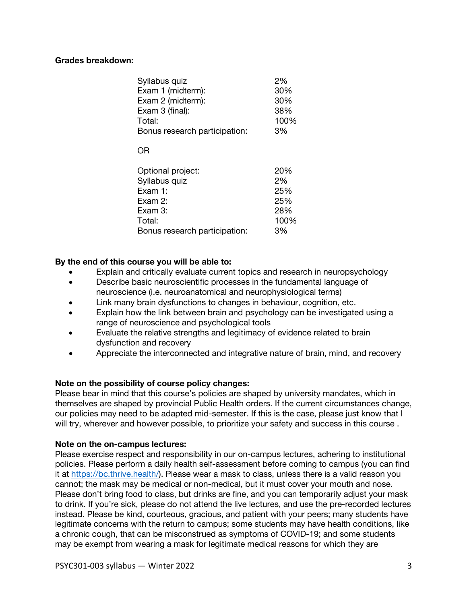### **Grades breakdown:**

| Syllabus quiz                 | 2%   |
|-------------------------------|------|
| Exam 1 (midterm):             | 30%  |
| Exam 2 (midterm):             | 30%  |
| Exam 3 (final):               | 38%  |
| Total:                        | 100% |
| Bonus research participation: | 3%   |
| OR                            |      |
| Optional project:             | 20%  |
| Syllabus quiz                 | 2%   |
| Exam 1:                       | 25%  |
| Exam 2:                       | 25%  |
| Exam 3:                       | 28%  |
| Total:                        | 100% |
| Bonus research participation: | 3%   |
|                               |      |

### **By the end of this course you will be able to:**

- Explain and critically evaluate current topics and research in neuropsychology
- Describe basic neuroscientific processes in the fundamental language of neuroscience (i.e. neuroanatomical and neurophysiological terms)
- Link many brain dysfunctions to changes in behaviour, cognition, etc.
- Explain how the link between brain and psychology can be investigated using a range of neuroscience and psychological tools
- Evaluate the relative strengths and legitimacy of evidence related to brain dysfunction and recovery
- Appreciate the interconnected and integrative nature of brain, mind, and recovery

### **Note on the possibility of course policy changes:**

Please bear in mind that this course's policies are shaped by university mandates, which in themselves are shaped by provincial Public Health orders. If the current circumstances change, our policies may need to be adapted mid-semester. If this is the case, please just know that I will try, wherever and however possible, to prioritize your safety and success in this course .

### **Note on the on-campus lectures:**

Please exercise respect and responsibility in our on-campus lectures, adhering to institutional policies. Please perform a daily health self-assessment before coming to campus (you can find it at https://bc.thrive.health/). Please wear a mask to class, unless there is a valid reason you cannot; the mask may be medical or non-medical, but it must cover your mouth and nose. Please don't bring food to class, but drinks are fine, and you can temporarily adjust your mask to drink. If you're sick, please do not attend the live lectures, and use the pre-recorded lectures instead. Please be kind, courteous, gracious, and patient with your peers; many students have legitimate concerns with the return to campus; some students may have health conditions, like a chronic cough, that can be misconstrued as symptoms of COVID-19; and some students may be exempt from wearing a mask for legitimate medical reasons for which they are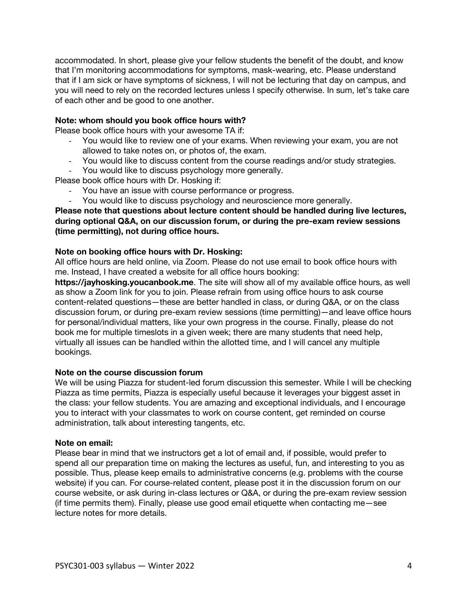accommodated. In short, please give your fellow students the benefit of the doubt, and know that I'm monitoring accommodations for symptoms, mask-wearing, etc. Please understand that if I am sick or have symptoms of sickness, I will not be lecturing that day on campus, and you will need to rely on the recorded lectures unless I specify otherwise. In sum, let's take care of each other and be good to one another.

### **Note: whom should you book office hours with?**

Please book office hours with your awesome TA if:

- You would like to review one of your exams. When reviewing your exam, you are not allowed to take notes on, or photos of, the exam.
- You would like to discuss content from the course readings and/or study strategies.
- You would like to discuss psychology more generally.

Please book office hours with Dr. Hosking if:

- You have an issue with course performance or progress.
- You would like to discuss psychology and neuroscience more generally.

### **Please note that questions about lecture content should be handled during live lectures, during optional Q&A, on our discussion forum, or during the pre-exam review sessions (time permitting), not during office hours.**

### **Note on booking office hours with Dr. Hosking:**

All office hours are held online, via Zoom. Please do not use email to book office hours with me. Instead, I have created a website for all office hours booking:

**https://jayhosking.youcanbook.me**. The site will show all of my available office hours, as well as show a Zoom link for you to join. Please refrain from using office hours to ask course content-related questions—these are better handled in class, or during Q&A, or on the class discussion forum, or during pre-exam review sessions (time permitting)—and leave office hours for personal/individual matters, like your own progress in the course. Finally, please do not book me for multiple timeslots in a given week; there are many students that need help, virtually all issues can be handled within the allotted time, and I will cancel any multiple bookings.

### **Note on the course discussion forum**

We will be using Piazza for student-led forum discussion this semester. While I will be checking Piazza as time permits, Piazza is especially useful because it leverages your biggest asset in the class: your fellow students. You are amazing and exceptional individuals, and I encourage you to interact with your classmates to work on course content, get reminded on course administration, talk about interesting tangents, etc.

### **Note on email:**

Please bear in mind that we instructors get a lot of email and, if possible, would prefer to spend all our preparation time on making the lectures as useful, fun, and interesting to you as possible. Thus, please keep emails to administrative concerns (e.g. problems with the course website) if you can. For course-related content, please post it in the discussion forum on our course website, or ask during in-class lectures or Q&A, or during the pre-exam review session (if time permits them). Finally, please use good email etiquette when contacting me—see lecture notes for more details.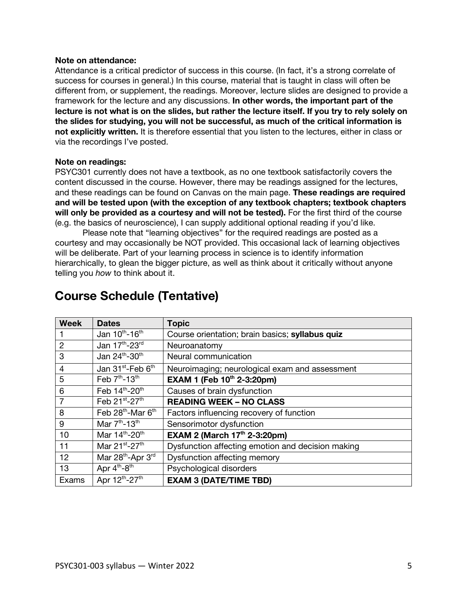### **Note on attendance:**

Attendance is a critical predictor of success in this course. (In fact, it's a strong correlate of success for courses in general.) In this course, material that is taught in class will often be different from, or supplement, the readings. Moreover, lecture slides are designed to provide a framework for the lecture and any discussions. **In other words, the important part of the lecture is not what is on the slides, but rather the lecture itself. If you try to rely solely on the slides for studying, you will not be successful, as much of the critical information is not explicitly written.** It is therefore essential that you listen to the lectures, either in class or via the recordings I've posted.

### **Note on readings:**

PSYC301 currently does not have a textbook, as no one textbook satisfactorily covers the content discussed in the course. However, there may be readings assigned for the lectures, and these readings can be found on Canvas on the main page. **These readings are required and will be tested upon (with the exception of any textbook chapters; textbook chapters will only be provided as a courtesy and will not be tested).** For the first third of the course (e.g. the basics of neuroscience), I can supply additional optional reading if you'd like.

Please note that "learning objectives" for the required readings are posted as a courtesy and may occasionally be NOT provided. This occasional lack of learning objectives will be deliberate. Part of your learning process in science is to identify information hierarchically, to glean the bigger picture, as well as think about it critically without anyone telling you *how* to think about it.

| <b>Week</b>    | <b>Dates</b>                              | <b>Topic</b>                                      |  |
|----------------|-------------------------------------------|---------------------------------------------------|--|
|                | Jan 10th-16th                             | Course orientation; brain basics; syllabus quiz   |  |
| $\overline{2}$ | Jan 17th-23rd                             | Neuroanatomy                                      |  |
| 3              | Jan 24th-30th                             | Neural communication                              |  |
| $\overline{4}$ | Jan 31 <sup>st</sup> -Feb 6 <sup>th</sup> | Neuroimaging; neurological exam and assessment    |  |
| 5              | Feb 7th-13th                              | EXAM 1 (Feb 10th 2-3:20pm)                        |  |
| 6              | Feb 14th-20th                             | Causes of brain dysfunction                       |  |
| 7              | Feb 21st-27th                             | <b>READING WEEK - NO CLASS</b>                    |  |
| 8              | Feb 28 <sup>th</sup> -Mar 6 <sup>th</sup> | Factors influencing recovery of function          |  |
| 9              | Mar $7th - 13th$                          | Sensorimotor dysfunction                          |  |
| 10             | Mar 14 <sup>th</sup> -20 <sup>th</sup>    | EXAM 2 (March 17th 2-3:20pm)                      |  |
| 11             | Mar 21 <sup>st</sup> -27 <sup>th</sup>    | Dysfunction affecting emotion and decision making |  |
| 12             | Mar 28 <sup>th</sup> -Apr 3 <sup>rd</sup> | Dysfunction affecting memory                      |  |
| 13             | Apr 4 <sup>th</sup> -8 <sup>th</sup>      | Psychological disorders                           |  |
| Exams          | Apr 12th-27th                             | <b>EXAM 3 (DATE/TIME TBD)</b>                     |  |

# **Course Schedule (Tentative)**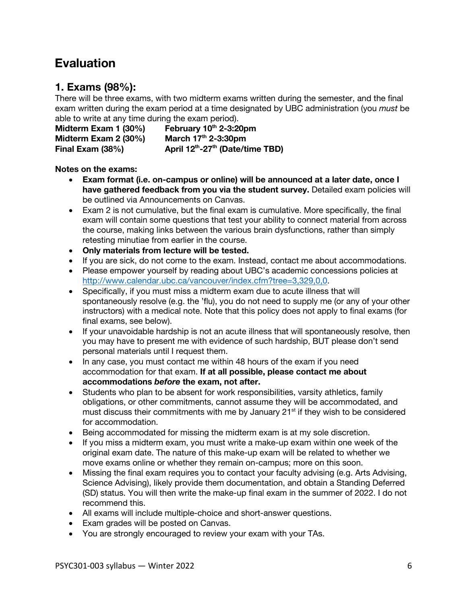# **Evaluation**

### **1. Exams (98%):**

There will be three exams, with two midterm exams written during the semester, and the final exam written during the exam period at a time designated by UBC administration (you *must* be able to write at any time during the exam period).

**Midterm Exam 1 (30%) February 10<sup>th</sup> 2-3:20pm Midterm Exam 2 (30%)** March 17<sup>th</sup> 2-3:30pm **Final Exam (38%) April 12th-27th (Date/time TBD)**

### **Notes on the exams:**

- **Exam format (i.e. on-campus or online) will be announced at a later date, once I have gathered feedback from you via the student survey.** Detailed exam policies will be outlined via Announcements on Canvas.
- Exam 2 is not cumulative, but the final exam is cumulative. More specifically, the final exam will contain some questions that test your ability to connect material from across the course, making links between the various brain dysfunctions, rather than simply retesting minutiae from earlier in the course.
- **Only materials from lecture will be tested.**
- If you are sick, do not come to the exam. Instead, contact me about accommodations.
- Please empower yourself by reading about UBC's academic concessions policies at http://www.calendar.ubc.ca/vancouver/index.cfm?tree=3,329,0,0.
- Specifically, if you must miss a midterm exam due to acute illness that will spontaneously resolve (e.g. the 'flu), you do not need to supply me (or any of your other instructors) with a medical note. Note that this policy does not apply to final exams (for final exams, see below).
- If your unavoidable hardship is not an acute illness that will spontaneously resolve, then you may have to present me with evidence of such hardship, BUT please don't send personal materials until I request them.
- In any case, you must contact me within 48 hours of the exam if you need accommodation for that exam. **If at all possible, please contact me about accommodations** *before* **the exam, not after.**
- Students who plan to be absent for work responsibilities, varsity athletics, family obligations, or other commitments, cannot assume they will be accommodated, and must discuss their commitments with me by January  $21<sup>st</sup>$  if they wish to be considered for accommodation.
- Being accommodated for missing the midterm exam is at my sole discretion.
- If you miss a midterm exam, you must write a make-up exam within one week of the original exam date. The nature of this make-up exam will be related to whether we move exams online or whether they remain on-campus; more on this soon.
- Missing the final exam requires you to contact your faculty advising (e.g. Arts Advising, Science Advising), likely provide them documentation, and obtain a Standing Deferred (SD) status. You will then write the make-up final exam in the summer of 2022. I do not recommend this.
- All exams will include multiple-choice and short-answer questions.
- Exam grades will be posted on Canvas.
- You are strongly encouraged to review your exam with your TAs.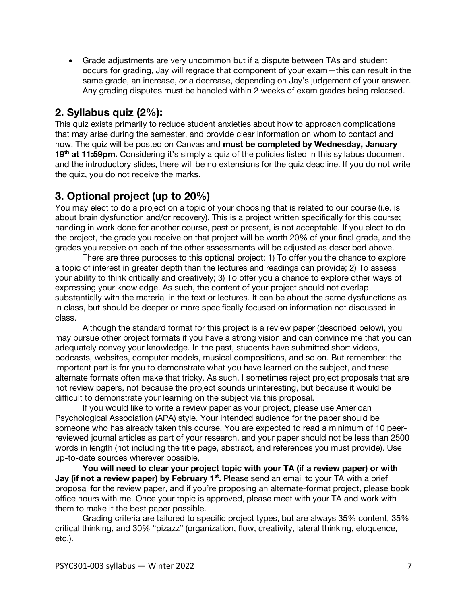• Grade adjustments are very uncommon but if a dispute between TAs and student occurs for grading, Jay will regrade that component of your exam—this can result in the same grade, an increase, *or* a decrease, depending on Jay's judgement of your answer. Any grading disputes must be handled within 2 weeks of exam grades being released.

### **2. Syllabus quiz (2%):**

This quiz exists primarily to reduce student anxieties about how to approach complications that may arise during the semester, and provide clear information on whom to contact and how. The quiz will be posted on Canvas and **must be completed by Wednesday, January**  19<sup>th</sup> at 11:59pm. Considering it's simply a quiz of the policies listed in this syllabus document and the introductory slides, there will be no extensions for the quiz deadline. If you do not write the quiz, you do not receive the marks.

### **3. Optional project (up to 20%)**

You may elect to do a project on a topic of your choosing that is related to our course (i.e. is about brain dysfunction and/or recovery). This is a project written specifically for this course; handing in work done for another course, past or present, is not acceptable. If you elect to do the project, the grade you receive on that project will be worth 20% of your final grade, and the grades you receive on each of the other assessments will be adjusted as described above.

There are three purposes to this optional project: 1) To offer you the chance to explore a topic of interest in greater depth than the lectures and readings can provide; 2) To assess your ability to think critically and creatively; 3) To offer you a chance to explore other ways of expressing your knowledge. As such, the content of your project should not overlap substantially with the material in the text or lectures. It can be about the same dysfunctions as in class, but should be deeper or more specifically focused on information not discussed in class.

Although the standard format for this project is a review paper (described below), you may pursue other project formats if you have a strong vision and can convince me that you can adequately convey your knowledge. In the past, students have submitted short videos, podcasts, websites, computer models, musical compositions, and so on. But remember: the important part is for you to demonstrate what you have learned on the subject, and these alternate formats often make that tricky. As such, I sometimes reject project proposals that are not review papers, not because the project sounds uninteresting, but because it would be difficult to demonstrate your learning on the subject via this proposal.

If you would like to write a review paper as your project, please use American Psychological Association (APA) style. Your intended audience for the paper should be someone who has already taken this course. You are expected to read a minimum of 10 peerreviewed journal articles as part of your research, and your paper should not be less than 2500 words in length (not including the title page, abstract, and references you must provide). Use up-to-date sources wherever possible.

**You will need to clear your project topic with your TA (if a review paper) or with Jay (if not a review paper) by February 1<sup>st</sup>.** Please send an email to your TA with a brief proposal for the review paper, and if you're proposing an alternate-format project, please book office hours with me. Once your topic is approved, please meet with your TA and work with them to make it the best paper possible.

Grading criteria are tailored to specific project types, but are always 35% content, 35% critical thinking, and 30% "pizazz" (organization, flow, creativity, lateral thinking, eloquence, etc.).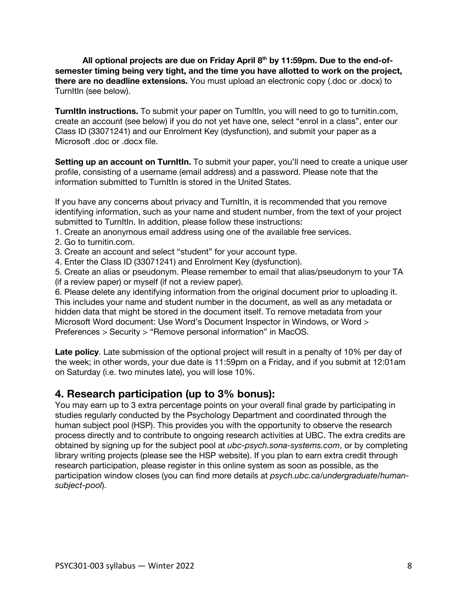**All optional projects are due on Friday April 8th by 11:59pm. Due to the end-ofsemester timing being very tight, and the time you have allotted to work on the project, there are no deadline extensions.** You must upload an electronic copy (.doc or .docx) to TurnItIn (see below).

**TurnItIn instructions.** To submit your paper on TurnItIn, you will need to go to turnitin.com, create an account (see below) if you do not yet have one, select "enrol in a class", enter our Class ID (33071241) and our Enrolment Key (dysfunction), and submit your paper as a Microsoft .doc or .docx file.

**Setting up an account on TurnItIn.** To submit your paper, you'll need to create a unique user profile, consisting of a username (email address) and a password. Please note that the information submitted to TurnItIn is stored in the United States.

If you have any concerns about privacy and TurnItIn, it is recommended that you remove identifying information, such as your name and student number, from the text of your project submitted to TurnItIn. In addition, please follow these instructions:

1. Create an anonymous email address using one of the available free services.

- 2. Go to turnitin.com.
- 3. Create an account and select "student" for your account type.
- 4. Enter the Class ID (33071241) and Enrolment Key (dysfunction).

5. Create an alias or pseudonym. Please remember to email that alias/pseudonym to your TA (if a review paper) or myself (if not a review paper).

6. Please delete any identifying information from the original document prior to uploading it. This includes your name and student number in the document, as well as any metadata or hidden data that might be stored in the document itself. To remove metadata from your Microsoft Word document: Use Word's Document Inspector in Windows, or Word > Preferences > Security > "Remove personal information" in MacOS.

**Late policy**. Late submission of the optional project will result in a penalty of 10% per day of the week; in other words, your due date is 11:59pm on a Friday, and if you submit at 12:01am on Saturday (i.e. two minutes late), you will lose 10%.

### **4. Research participation (up to 3% bonus):**

You may earn up to 3 extra percentage points on your overall final grade by participating in studies regularly conducted by the Psychology Department and coordinated through the human subject pool (HSP). This provides you with the opportunity to observe the research process directly and to contribute to ongoing research activities at UBC. The extra credits are obtained by signing up for the subject pool at *ubc-psych.sona-systems.com*, or by completing library writing projects (please see the HSP website). If you plan to earn extra credit through research participation, please register in this online system as soon as possible, as the participation window closes (you can find more details at *psych.ubc.ca/undergraduate/humansubject-pool*).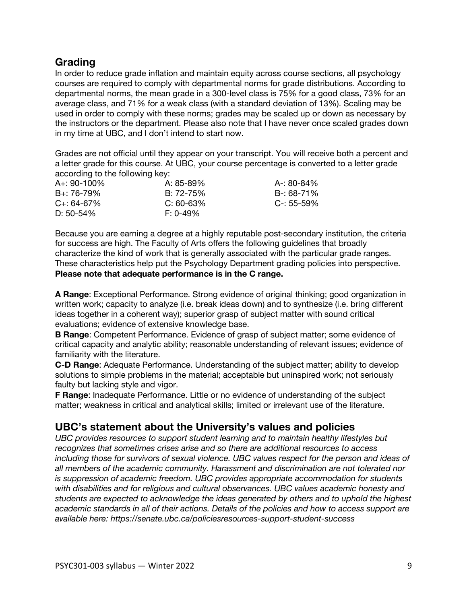### **Grading**

In order to reduce grade inflation and maintain equity across course sections, all psychology courses are required to comply with departmental norms for grade distributions. According to departmental norms, the mean grade in a 300-level class is 75% for a good class, 73% for an average class, and 71% for a weak class (with a standard deviation of 13%). Scaling may be used in order to comply with these norms; grades may be scaled up or down as necessary by the instructors or the department. Please also note that I have never once scaled grades down in my time at UBC, and I don't intend to start now.

Grades are not official until they appear on your transcript. You will receive both a percent and a letter grade for this course. At UBC, your course percentage is converted to a letter grade according to the following key:

| $A_{+}$ : 90-100% | A: 85-89%      | A-: 80-84%      |
|-------------------|----------------|-----------------|
| $B_{+}$ : 76-79%  | $B: 72 - 75\%$ | B-: 68-71%      |
| $C_{+}$ : 64-67%  | $C: 60-63%$    | $C - 55 - 59\%$ |
| D: $50-54\%$      | $F: 0-49\%$    |                 |

Because you are earning a degree at a highly reputable post-secondary institution, the criteria for success are high. The Faculty of Arts offers the following guidelines that broadly characterize the kind of work that is generally associated with the particular grade ranges. These characteristics help put the Psychology Department grading policies into perspective. **Please note that adequate performance is in the C range.**

**A Range**: Exceptional Performance. Strong evidence of original thinking; good organization in written work; capacity to analyze (i.e. break ideas down) and to synthesize (i.e. bring different ideas together in a coherent way); superior grasp of subject matter with sound critical evaluations; evidence of extensive knowledge base.

**B Range**: Competent Performance. Evidence of grasp of subject matter; some evidence of critical capacity and analytic ability; reasonable understanding of relevant issues; evidence of familiarity with the literature.

**C-D Range**: Adequate Performance. Understanding of the subject matter; ability to develop solutions to simple problems in the material; acceptable but uninspired work; not seriously faulty but lacking style and vigor.

**F Range**: Inadequate Performance. Little or no evidence of understanding of the subject matter; weakness in critical and analytical skills; limited or irrelevant use of the literature.

### **UBC's statement about the University's values and policies**

*UBC provides resources to support student learning and to maintain healthy lifestyles but recognizes that sometimes crises arise and so there are additional resources to access including those for survivors of sexual violence. UBC values respect for the person and ideas of all members of the academic community. Harassment and discrimination are not tolerated nor is suppression of academic freedom. UBC provides appropriate accommodation for students with disabilities and for religious and cultural observances. UBC values academic honesty and students are expected to acknowledge the ideas generated by others and to uphold the highest academic standards in all of their actions. Details of the policies and how to access support are available here: https://senate.ubc.ca/policiesresources-support-student-success*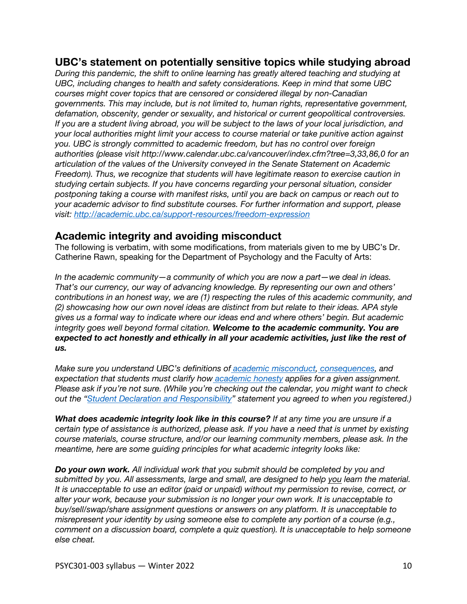### **UBC's statement on potentially sensitive topics while studying abroad**

*During this pandemic, the shift to online learning has greatly altered teaching and studying at UBC, including changes to health and safety considerations. Keep in mind that some UBC courses might cover topics that are censored or considered illegal by non-Canadian governments. This may include, but is not limited to, human rights, representative government, defamation, obscenity, gender or sexuality, and historical or current geopolitical controversies. If you are a student living abroad, you will be subject to the laws of your local jurisdiction, and your local authorities might limit your access to course material or take punitive action against you. UBC is strongly committed to academic freedom, but has no control over foreign authorities (please visit http://www.calendar.ubc.ca/vancouver/index.cfm?tree=3,33,86,0 for an articulation of the values of the University conveyed in the Senate Statement on Academic Freedom). Thus, we recognize that students will have legitimate reason to exercise caution in studying certain subjects. If you have concerns regarding your personal situation, consider postponing taking a course with manifest risks, until you are back on campus or reach out to your academic advisor to find substitute courses. For further information and support, please visit: http://academic.ubc.ca/support-resources/freedom-expression*

### **Academic integrity and avoiding misconduct**

The following is verbatim, with some modifications, from materials given to me by UBC's Dr. Catherine Rawn, speaking for the Department of Psychology and the Faculty of Arts:

*In the academic community—a community of which you are now a part—we deal in ideas. That's our currency, our way of advancing knowledge. By representing our own and others' contributions in an honest way, we are (1) respecting the rules of this academic community, and (2) showcasing how our own novel ideas are distinct from but relate to their ideas. APA style gives us a formal way to indicate where our ideas end and where others' begin. But academic integrity goes well beyond formal citation. Welcome to the academic community. You are expected to act honestly and ethically in all your academic activities, just like the rest of us.*

*Make sure you understand UBC's definitions of academic misconduct, consequences, and expectation that students must clarify how academic honesty applies for a given assignment. Please ask if you're not sure. (While you're checking out the calendar, you might want to check out the "Student Declaration and Responsibility" statement you agreed to when you registered.)*

*What does academic integrity look like in this course? If at any time you are unsure if a certain type of assistance is authorized, please ask. If you have a need that is unmet by existing course materials, course structure, and/or our learning community members, please ask. In the meantime, here are some guiding principles for what academic integrity looks like:*

*Do your own work. All individual work that you submit should be completed by you and submitted by you. All assessments, large and small, are designed to help you learn the material. It is unacceptable to use an editor (paid or unpaid) without my permission to revise, correct, or alter your work, because your submission is no longer your own work. It is unacceptable to buy/sell/swap/share assignment questions or answers on any platform. It is unacceptable to misrepresent your identity by using someone else to complete any portion of a course (e.g., comment on a discussion board, complete a quiz question). It is unacceptable to help someone else cheat.*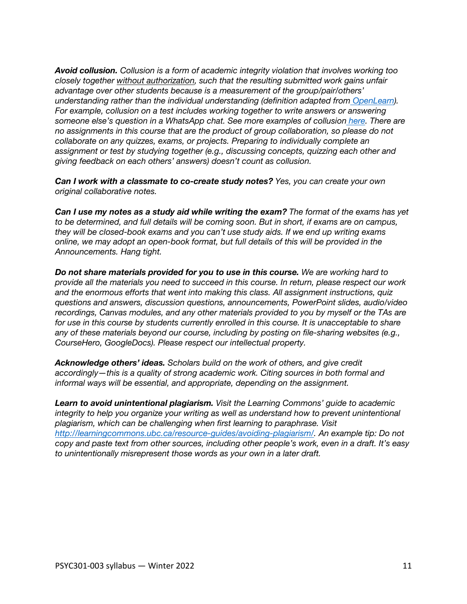*Avoid collusion. Collusion is a form of academic integrity violation that involves working too closely together without authorization, such that the resulting submitted work gains unfair advantage over other students because is a measurement of the group/pair/others' understanding rather than the individual understanding (definition adapted from OpenLearn). For example, collusion on a test includes working together to write answers or answering*  someone else's question in a WhatsApp chat. See more examples of collusion *here.* There are *no assignments in this course that are the product of group collaboration, so please do not collaborate on any quizzes, exams, or projects. Preparing to individually complete an assignment or test by studying together (e.g., discussing concepts, quizzing each other and giving feedback on each others' answers) doesn't count as collusion.*

*Can I work with a classmate to co-create study notes? Yes, you can create your own original collaborative notes.*

*Can I use my notes as a study aid while writing the exam? The format of the exams has yet to be determined, and full details will be coming soon. But in short, if exams are on campus, they will be closed-book exams and you can't use study aids. If we end up writing exams online, we may adopt an open-book format, but full details of this will be provided in the Announcements. Hang tight.*

*Do not share materials provided for you to use in this course. We are working hard to provide all the materials you need to succeed in this course. In return, please respect our work and the enormous efforts that went into making this class. All assignment instructions, quiz questions and answers, discussion questions, announcements, PowerPoint slides, audio/video recordings, Canvas modules, and any other materials provided to you by myself or the TAs are for use in this course by students currently enrolled in this course. It is unacceptable to share any of these materials beyond our course, including by posting on file-sharing websites (e.g., CourseHero, GoogleDocs). Please respect our intellectual property.*

*Acknowledge others' ideas. Scholars build on the work of others, and give credit accordingly—this is a quality of strong academic work. Citing sources in both formal and informal ways will be essential, and appropriate, depending on the assignment.*

*Learn to avoid unintentional plagiarism. Visit the Learning Commons' guide to academic integrity to help you organize your writing as well as understand how to prevent unintentional plagiarism, which can be challenging when first learning to paraphrase. Visit http://learningcommons.ubc.ca/resource-guides/avoiding-plagiarism/. An example tip: Do not copy and paste text from other sources, including other people's work, even in a draft. It's easy to unintentionally misrepresent those words as your own in a later draft.*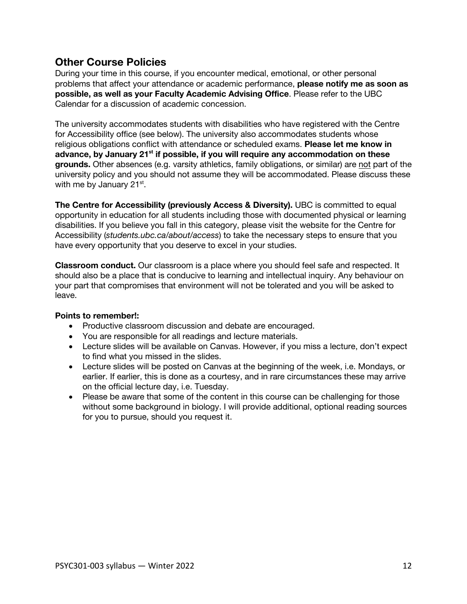### **Other Course Policies**

During your time in this course, if you encounter medical, emotional, or other personal problems that affect your attendance or academic performance, **please notify me as soon as possible, as well as your Faculty Academic Advising Office**. Please refer to the UBC Calendar for a discussion of academic concession.

The university accommodates students with disabilities who have registered with the Centre for Accessibility office (see below). The university also accommodates students whose religious obligations conflict with attendance or scheduled exams. **Please let me know in advance, by January 21st if possible, if you will require any accommodation on these grounds.** Other absences (e.g. varsity athletics, family obligations, or similar) are not part of the university policy and you should not assume they will be accommodated. Please discuss these with me by January  $21^{st}$ .

**The Centre for Accessibility (previously Access & Diversity).** UBC is committed to equal opportunity in education for all students including those with documented physical or learning disabilities. If you believe you fall in this category, please visit the website for the Centre for Accessibility (*students.ubc.ca/about/access*) to take the necessary steps to ensure that you have every opportunity that you deserve to excel in your studies.

**Classroom conduct.** Our classroom is a place where you should feel safe and respected. It should also be a place that is conducive to learning and intellectual inquiry. Any behaviour on your part that compromises that environment will not be tolerated and you will be asked to leave.

### **Points to remember!:**

- Productive classroom discussion and debate are encouraged.
- You are responsible for all readings and lecture materials.
- Lecture slides will be available on Canvas. However, if you miss a lecture, don't expect to find what you missed in the slides.
- Lecture slides will be posted on Canvas at the beginning of the week, i.e. Mondays, or earlier. If earlier, this is done as a courtesy, and in rare circumstances these may arrive on the official lecture day, i.e. Tuesday.
- Please be aware that some of the content in this course can be challenging for those without some background in biology. I will provide additional, optional reading sources for you to pursue, should you request it.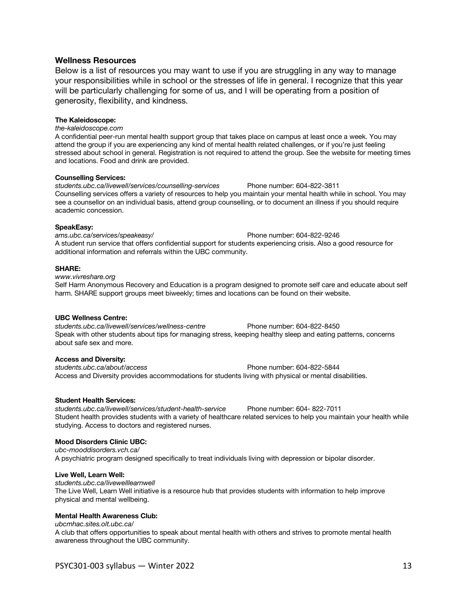### **Wellness Resources**

Below is a list of resources you may want to use if you are struggling in any way to manage your responsibilities while in school or the stresses of life in general. I recognize that this year will be particularly challenging for some of us, and I will be operating from a position of generosity, flexibility, and kindness.

### **The Kaleidoscope:**

*the-kaleidoscope.com* 

A confidential peer-run mental health support group that takes place on campus at least once a week. You may attend the group if you are experiencing any kind of mental health related challenges, or if you're just feeling stressed about school in general. Registration is not required to attend the group. See the website for meeting times and locations. Food and drink are provided.

#### **Counselling Services:**

*students.ubc.ca/livewell/services/counselling-services* Phone number: 604-822-3811 Counselling services offers a variety of resources to help you maintain your mental health while in school. You may see a counsellor on an individual basis, attend group counselling, or to document an illness if you should require academic concession.

#### **SpeakEasy:**

*ams.ubc.ca/services/speakeasy/* Phone number: 604-822-9246 A student run service that offers confidential support for students experiencing crisis. Also a good resource for additional information and referrals within the UBC community.

#### **SHARE:**

*www.vivreshare.org*  Self Harm Anonymous Recovery and Education is a program designed to promote self care and educate about self harm. SHARE support groups meet biweekly; times and locations can be found on their website.

#### **UBC Wellness Centre:**

*students.ubc.ca/livewell/services/wellness-centre* Phone number: 604-822-8450 Speak with other students about tips for managing stress, keeping healthy sleep and eating patterns, concerns about safe sex and more.

### **Access and Diversity:**

*students.ubc.ca/about/access* Phone number: 604-822-5844 Access and Diversity provides accommodations for students living with physical or mental disabilities.

### **Student Health Services:**

*students.ubc.ca/livewell/services/student-health-service* Phone number: 604- 822-7011 Student health provides students with a variety of healthcare related services to help you maintain your health while studying. Access to doctors and registered nurses.

### **Mood Disorders Clinic UBC:**

*ubc-mooddisorders.vch.ca/* 

A psychiatric program designed specifically to treat individuals living with depression or bipolar disorder.

### **Live Well, Learn Well:**

*students.ubc.ca/livewelllearnwell*  The Live Well, Learn Well initiative is a resource hub that provides students with information to help improve physical and mental wellbeing.

### **Mental Health Awareness Club:**

*ubcmhac.sites.olt.ubc.ca/* 

A club that offers opportunities to speak about mental health with others and strives to promote mental health awareness throughout the UBC community.